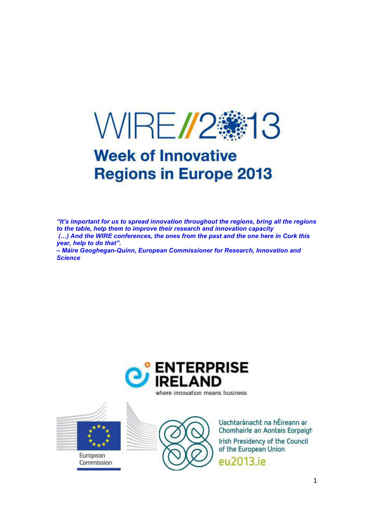

# **Week of Innovative Regions in Europe 2013**

*"It's important for us to spread innovation throughout the regions, bring all the regions to the table, help them to improve their research and innovation capacity (...)* And the WIRE conferences, the ones from the past and the one here in Cork this *year, help to do that". – Máire Geoghegan-Quinn, European Commissioner for Research, Innovation and Science* 





European Commission



Uachtaránacht na hÉireann ar Chomhairle an Aontais Eorpaigh Irish Presidency of the Council of the European Union eu2013.ie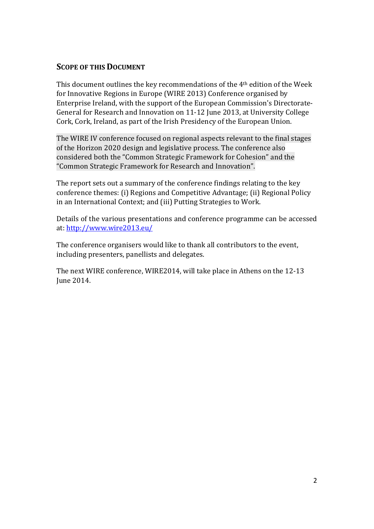# **SCOPE OF THIS DOCUMENT**

This document outlines the key recommendations of the 4th edition of the Week for Innovative Regions in Europe (WIRE 2013) Conference organised by Enterprise Ireland, with the support of the European Commission's Directorate-General for Research and Innovation on 11-12 June 2013, at University College Cork, Cork, Ireland, as part of the Irish Presidency of the European Union.

The WIRE IV conference focused on regional aspects relevant to the final stages of the Horizon 2020 design and legislative process. The conference also considered both the "Common Strategic Framework for Cohesion" and the "Common Strategic Framework for Research and Innovation".

The report sets out a summary of the conference findings relating to the key conference themes: (i) Regions and Competitive Advantage; (ii) Regional Policy in an International Context; and (iii) Putting Strategies to Work.

Details of the various presentations and conference programme can be accessed at: http://www.wire2013.eu/

The conference organisers would like to thank all contributors to the event, including presenters, panellists and delegates.

The next WIRE conference, WIRE2014, will take place in Athens on the 12-13 June 2014.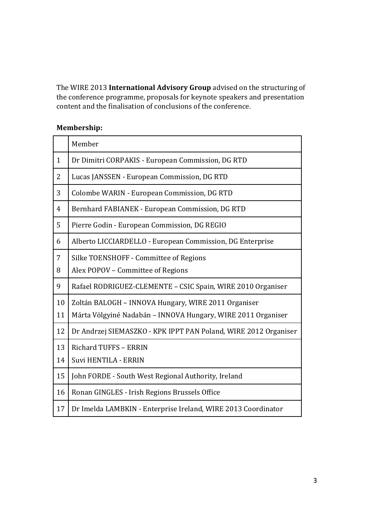The WIRE 2013 **International Advisory Group** advised on the structuring of the conference programme, proposals for keynote speakers and presentation content and the finalisation of conclusions of the conference.

# **Membership:**

|              | Member                                                          |
|--------------|-----------------------------------------------------------------|
| $\mathbf{1}$ | Dr Dimitri CORPAKIS - European Commission, DG RTD               |
| 2            | Lucas JANSSEN - European Commission, DG RTD                     |
| 3            | Colombe WARIN - European Commission, DG RTD                     |
| 4            | Bernhard FABIANEK - European Commission, DG RTD                 |
| 5            | Pierre Godin - European Commission, DG REGIO                    |
| 6            | Alberto LICCIARDELLO - European Commission, DG Enterprise       |
| 7            | Silke TOENSHOFF - Committee of Regions                          |
| 8            | Alex POPOV - Committee of Regions                               |
| 9            | Rafael RODRIGUEZ-CLEMENTE - CSIC Spain, WIRE 2010 Organiser     |
| 10           | Zoltán BALOGH - INNOVA Hungary, WIRE 2011 Organiser             |
| 11           | Márta Völgyiné Nadabán – INNOVA Hungary, WIRE 2011 Organiser    |
| 12           | Dr Andrzej SIEMASZKO - KPK IPPT PAN Poland, WIRE 2012 Organiser |
| 13           | <b>Richard TUFFS - ERRIN</b>                                    |
| 14           | Suvi HENTILA - ERRIN                                            |
| 15           | John FORDE - South West Regional Authority, Ireland             |
| 16           | Ronan GINGLES - Irish Regions Brussels Office                   |
| 17           | Dr Imelda LAMBKIN - Enterprise Ireland, WIRE 2013 Coordinator   |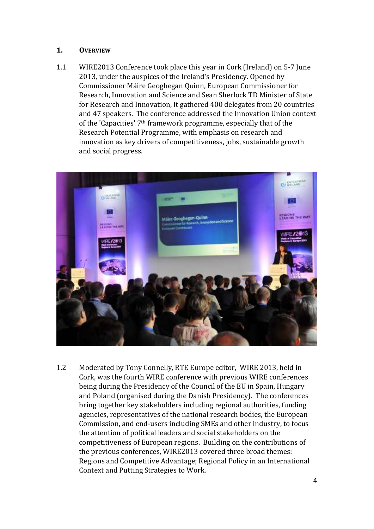# **1. OVERVIEW**

1.1 WIRE2013 Conference took place this year in Cork (Ireland) on 5-7 June 2013, under the auspices of the Ireland's Presidency. Opened by Commissioner Máire Geoghegan Quinn, European Commissioner for Research, Innovation and Science and Sean Sherlock TD Minister of State for Research and Innovation, it gathered 400 delegates from 20 countries and 47 speakers. The conference addressed the Innovation Union context of the 'Capacities' 7th framework programme, especially that of the Research Potential Programme, with emphasis on research and innovation as key drivers of competitiveness, jobs, sustainable growth and social progress.



1.2 Moderated by Tony Connelly, RTE Europe editor, WIRE 2013, held in Cork, was the fourth WIRE conference with previous WIRE conferences being during the Presidency of the Council of the EU in Spain, Hungary and Poland (organised during the Danish Presidency). The conferences bring together key stakeholders including regional authorities, funding agencies, representatives of the national research bodies, the European Commission, and end-users including SMEs and other industry, to focus the attention of political leaders and social stakeholders on the competitiveness of European regions. Building on the contributions of the previous conferences, WIRE2013 covered three broad themes: Regions and Competitive Advantage; Regional Policy in an International Context and Putting Strategies to Work.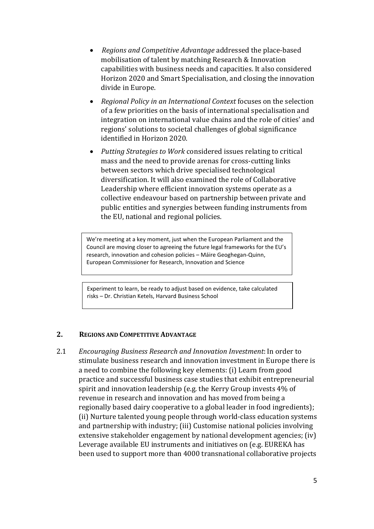- • *Regions and Competitive Advantage* addressed the place-based mobilisation of talent by matching Research & Innovation capabilities with business needs and capacities. It also considered Horizon 2020 and Smart Specialisation, and closing the innovation divide in Europe.
- *Regional Policy in an International Context* focuses on the selection of a few priorities on the basis of international specialisation and integration on international value chains and the role of cities' and regions' solutions to societal challenges of global significance identified in Horizon 2020.
- *Putting Strategies to Work* considered issues relating to critical mass and the need to provide arenas for cross-cutting links between sectors which drive specialised technological diversification. It will also examined the role of Collaborative Leadership where efficient innovation systems operate as a collective endeavour based on partnership between private and public entities and synergies between funding instruments from the EU, national and regional policies.

We're meeting at a key moment, just when the European Parliament and the Council are moving closer to agreeing the future legal frameworks for the EU's research, innovation and cohesion policies – Máire Geoghegan-Quinn, European Commissioner for Research, Innovation and Science

Experiment to learn, be ready to adjust based on evidence, take calculated risks – Dr. Christian Ketels, Harvard Business School

#### **2. REGIONS AND COMPETITIVE ADVANTAGE**

2.1 *Encouraging Business Research and Innovation Investment*: In order to stimulate business research and innovation investment in Europe there is a need to combine the following key elements: (i) Learn from good practice and successful business case studies that exhibit entrepreneurial spirit and innovation leadership (e.g. the Kerry Group invests 4% of revenue in research and innovation and has moved from being a regionally based dairy cooperative to a global leader in food ingredients); (ii) Nurture talented young people through world-class education systems and partnership with industry; (iii) Customise national policies involving extensive stakeholder engagement by national development agencies; (iv) Leverage available EU instruments and initiatives on (e.g. EUREKA has been used to support more than 4000 transnational collaborative projects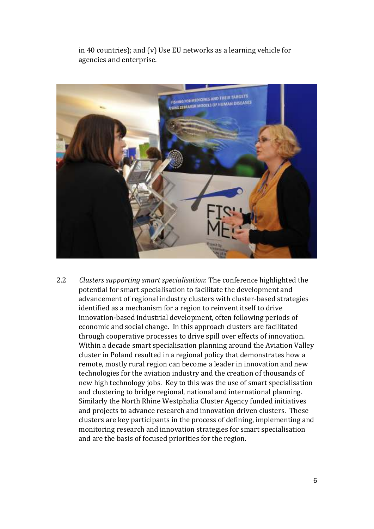in 40 countries); and (v) Use EU networks as a learning vehicle for agencies and enterprise.



2.2 *Clusters supporting smart specialisation*: The conference highlighted the potential for smart specialisation to facilitate the development and advancement of regional industry clusters with cluster-based strategies identified as a mechanism for a region to reinvent itself to drive innovation-based industrial development, often following periods of economic and social change. In this approach clusters are facilitated through cooperative processes to drive spill over effects of innovation. Within a decade smart specialisation planning around the Aviation Valley cluster in Poland resulted in a regional policy that demonstrates how a remote, mostly rural region can become a leader in innovation and new technologies for the aviation industry and the creation of thousands of new high technology jobs. Key to this was the use of smart specialisation and clustering to bridge regional, national and international planning. Similarly the North Rhine Westphalia Cluster Agency funded initiatives and projects to advance research and innovation driven clusters. These clusters are key participants in the process of defining, implementing and monitoring research and innovation strategies for smart specialisation and are the basis of focused priorities for the region.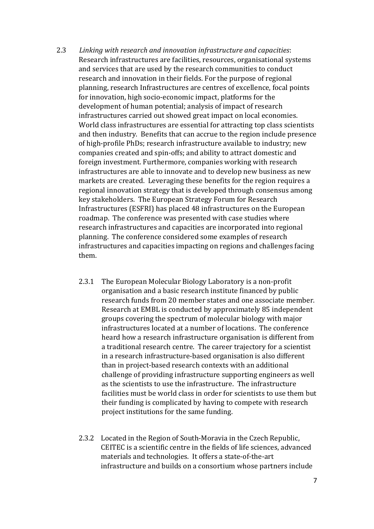- 2.3 *Linking with research and innovation infrastructure and capacities*: Research infrastructures are facilities, resources, organisational systems and services that are used by the research communities to conduct research and innovation in their fields. For the purpose of regional planning, research Infrastructures are centres of excellence, focal points for innovation, high socio-economic impact, platforms for the development of human potential; analysis of impact of research infrastructures carried out showed great impact on local economies. World class infrastructures are essential for attracting top class scientists and then industry. Benefits that can accrue to the region include presence of high-profile PhDs; research infrastructure available to industry; new companies created and spin-offs; and ability to attract domestic and foreign investment. Furthermore, companies working with research infrastructures are able to innovate and to develop new business as new markets are created. Leveraging these benefits for the region requires a regional innovation strategy that is developed through consensus among key stakeholders. The European Strategy Forum for Research Infrastructures (ESFRI) has placed 48 infrastructures on the European roadmap. The conference was presented with case studies where research infrastructures and capacities are incorporated into regional planning. The conference considered some examples of research infrastructures and capacities impacting on regions and challenges facing them.
	- 2.3.1 The European Molecular Biology Laboratory is a non-profit organisation and a basic research institute financed by public research funds from 20 member states and one associate member. Research at EMBL is conducted by approximately 85 independent groups covering the spectrum of molecular biology with major infrastructures located at a number of locations. The conference heard how a research infrastructure organisation is different from a traditional research centre. The career trajectory for a scientist in a research infrastructure-based organisation is also different than in project-based research contexts with an additional challenge of providing infrastructure supporting engineers as well as the scientists to use the infrastructure. The infrastructure facilities must be world class in order for scientists to use them but their funding is complicated by having to compete with research project institutions for the same funding.
	- 2.3.2 Located in the Region of South-Moravia in the Czech Republic, CEITEC is a scientific centre in the fields of life sciences, advanced materials and technologies. It offers a state-of-the-art infrastructure and builds on a consortium whose partners include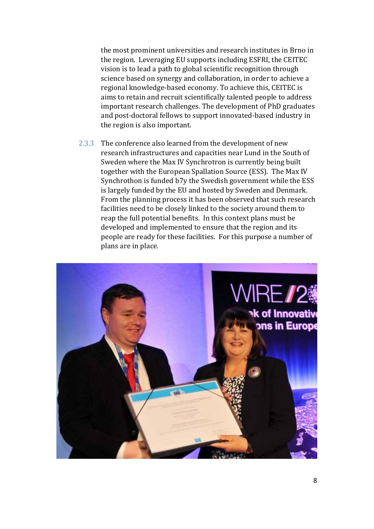the most prominent universities and research institutes in Brno in the region. Leveraging EU supports including ESFRI, the CEITEC vision is to lead a path to global scientific recognition through science based on synergy and collaboration, in order to achieve a regional knowledge-based economy. To achieve this, CEITEC is aims to retain and recruit scientifically talented people to address important research challenges. The development of PhD graduates and post-doctoral fellows to support innovated-based industry in the region is also important.

2.3.3 The conference also learned from the development of new research infrastructures and capacities near Lund in the South of Sweden where the Max IV Synchrotron is currently being built together with the European Spallation Source (ESS). The Max IV Synchrothon is funded b7y the Swedish government while the ESS is largely funded by the EU and hosted by Sweden and Denmark. From the planning process it has been observed that such research facilities need to be closely linked to the society around them to reap the full potential benefits. In this context plans must be developed and implemented to ensure that the region and its people are ready for these facilities. For this purpose a number of plans are in place.

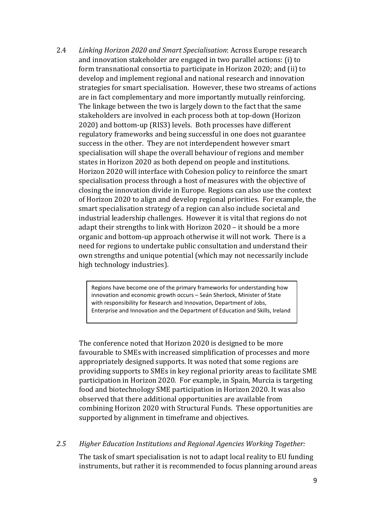2.4 *Linking Horizon 2020 and Smart Specialisation*: Across Europe research and innovation stakeholder are engaged in two parallel actions: (i) to form transnational consortia to participate in Horizon 2020; and (ii) to develop and implement regional and national research and innovation strategies for smart specialisation. However, these two streams of actions are in fact complementary and more importantly mutually reinforcing. The linkage between the two is largely down to the fact that the same stakeholders are involved in each process both at top-down (Horizon 2020) and bottom-up (RIS3) levels. Both processes have different regulatory frameworks and being successful in one does not guarantee success in the other. They are not interdependent however smart specialisation will shape the overall behaviour of regions and member states in Horizon 2020 as both depend on people and institutions. Horizon 2020 will interface with Cohesion policy to reinforce the smart specialisation process through a host of measures with the objective of closing the innovation divide in Europe. Regions can also use the context of Horizon 2020 to align and develop regional priorities. For example, the smart specialisation strategy of a region can also include societal and industrial leadership challenges. However it is vital that regions do not adapt their strengths to link with Horizon 2020 – it should be a more organic and bottom-up approach otherwise it will not work. There is a need for regions to undertake public consultation and understand their own strengths and unique potential (which may not necessarily include high technology industries).

> Regions have become one of the primary frameworks for understanding how innovation and economic growth occurs – Seán Sherlock, Minister of State with responsibility for Research and Innovation, Department of Jobs, Enterprise and Innovation and the Department of Education and Skills, Ireland

The conference noted that Horizon 2020 is designed to be more favourable to SMEs with increased simplification of processes and more appropriately designed supports. It was noted that some regions are providing supports to SMEs in key regional priority areas to facilitate SME participation in Horizon 2020. For example, in Spain, Murcia is targeting food and biotechnology SME participation in Horizon 2020. It was also observed that there additional opportunities are available from combining Horizon 2020 with Structural Funds. These opportunities are supported by alignment in timeframe and objectives.

# *2.5 Higher Education Institutions and Regional Agencies Working Together:*

The task of smart specialisation is not to adapt local reality to EU funding instruments, but rather it is recommended to focus planning around areas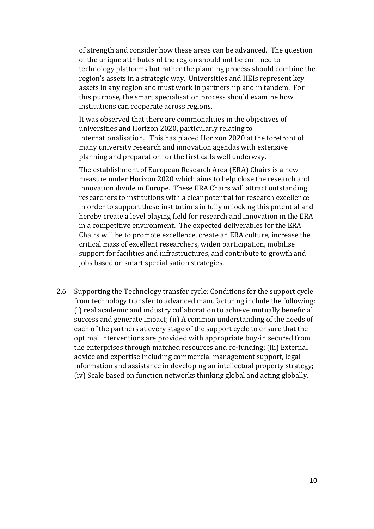of strength and consider how these areas can be advanced. The question of the unique attributes of the region should not be confined to technology platforms but rather the planning process should combine the region's assets in a strategic way. Universities and HEIs represent key assets in any region and must work in partnership and in tandem. For this purpose, the smart specialisation process should examine how institutions can cooperate across regions.

It was observed that there are commonalities in the objectives of universities and Horizon 2020, particularly relating to internationalisation. This has placed Horizon 2020 at the forefront of many university research and innovation agendas with extensive planning and preparation for the first calls well underway.

The establishment of European Research Area (ERA) Chairs is a new measure under Horizon 2020 which aims to help close the research and innovation divide in Europe. These ERA Chairs will attract outstanding researchers to institutions with a clear potential for research excellence in order to support these institutions in fully unlocking this potential and hereby create a level playing field for research and innovation in the ERA in a competitive environment. The expected deliverables for the ERA Chairs will be to promote excellence, create an ERA culture, increase the critical mass of excellent researchers, widen participation, mobilise support for facilities and infrastructures, and contribute to growth and jobs based on smart specialisation strategies.

2.6 Supporting the Technology transfer cycle: Conditions for the support cycle from technology transfer to advanced manufacturing include the following: (i) real academic and industry collaboration to achieve mutually beneficial success and generate impact; (ii) A common understanding of the needs of each of the partners at every stage of the support cycle to ensure that the optimal interventions are provided with appropriate buy-in secured from the enterprises through matched resources and co-funding; (iii) External advice and expertise including commercial management support, legal information and assistance in developing an intellectual property strategy; (iv) Scale based on function networks thinking global and acting globally.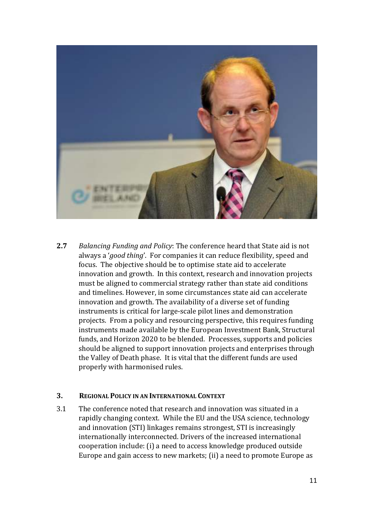

**2.7** *Balancing Funding and Policy*: The conference heard that State aid is not always a '*good thing*'. For companies it can reduce flexibility, speed and focus. The objective should be to optimise state aid to accelerate innovation and growth. In this context, research and innovation projects must be aligned to commercial strategy rather than state aid conditions and timelines. However, in some circumstances state aid can accelerate innovation and growth. The availability of a diverse set of funding instruments is critical for large-scale pilot lines and demonstration projects. From a policy and resourcing perspective, this requires funding instruments made available by the European Investment Bank, Structural funds, and Horizon 2020 to be blended. Processes, supports and policies should be aligned to support innovation projects and enterprises through the Valley of Death phase. It is vital that the different funds are used properly with harmonised rules.

# **3. REGIONAL POLICY IN AN INTERNATIONAL CONTEXT**

3.1 The conference noted that research and innovation was situated in a rapidly changing context. While the EU and the USA science, technology and innovation (STI) linkages remains strongest, STI is increasingly internationally interconnected. Drivers of the increased international cooperation include: (i) a need to access knowledge produced outside Europe and gain access to new markets; (ii) a need to promote Europe as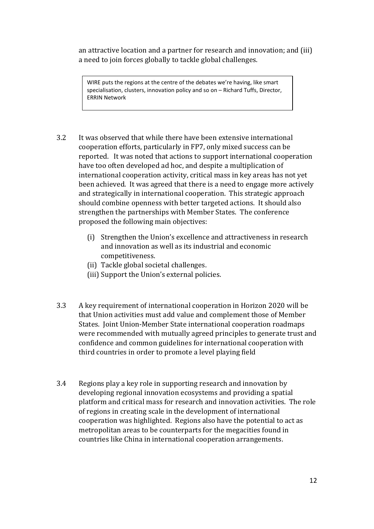an attractive location and a partner for research and innovation; and (iii) a need to join forces globally to tackle global challenges.

WIRE puts the regions at the centre of the debates we're having, like smart specialisation, clusters, innovation policy and so on – Richard Tuffs, Director, ERRIN Network

- 3.2 It was observed that while there have been extensive international cooperation efforts, particularly in FP7, only mixed success can be reported. It was noted that actions to support international cooperation have too often developed ad hoc, and despite a multiplication of international cooperation activity, critical mass in key areas has not yet been achieved. It was agreed that there is a need to engage more actively and strategically in international cooperation. This strategic approach should combine openness with better targeted actions. It should also strengthen the partnerships with Member States. The conference proposed the following main objectives:
	- (i) Strengthen the Union's excellence and attractiveness in research and innovation as well as its industrial and economic competitiveness.
	- (ii) Tackle global societal challenges.
	- (iii) Support the Union's external policies.
- 3.3 A key requirement of international cooperation in Horizon 2020 will be that Union activities must add value and complement those of Member States. Joint Union-Member State international cooperation roadmaps were recommended with mutually agreed principles to generate trust and confidence and common guidelines for international cooperation with third countries in order to promote a level playing field
- 3.4 Regions play a key role in supporting research and innovation by developing regional innovation ecosystems and providing a spatial platform and critical mass for research and innovation activities. The role of regions in creating scale in the development of international cooperation was highlighted. Regions also have the potential to act as metropolitan areas to be counterparts for the megacities found in countries like China in international cooperation arrangements.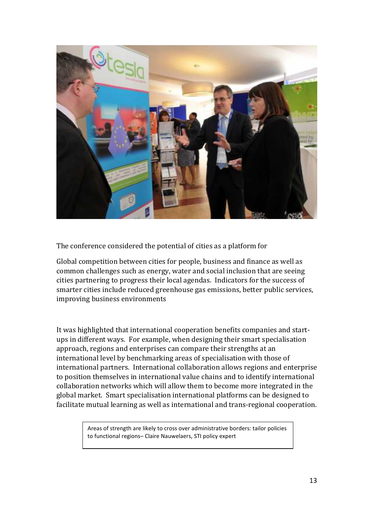

The conference considered the potential of cities as a platform for

Global competition between cities for people, business and finance as well as common challenges such as energy, water and social inclusion that are seeing cities partnering to progress their local agendas. Indicators for the success of smarter cities include reduced greenhouse gas emissions, better public services, improving business environments

It was highlighted that international cooperation benefits companies and startups in different ways. For example, when designing their smart specialisation approach, regions and enterprises can compare their strengths at an international level by benchmarking areas of specialisation with those of international partners. International collaboration allows regions and enterprise to position themselves in international value chains and to identify international collaboration networks which will allow them to become more integrated in the global market. Smart specialisation international platforms can be designed to facilitate mutual learning as well as international and trans-regional cooperation.

> Areas of strength are likely to cross over administrative borders: tailor policies to functional regions– Claire Nauwelaers, STI policy expert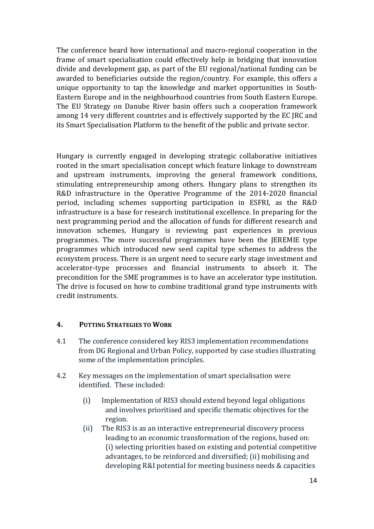The conference heard how international and macro-regional cooperation in the frame of smart specialisation could effectively help in bridging that innovation divide and development gap, as part of the EU regional/national funding can be awarded to beneficiaries outside the region/country. For example, this offers a unique opportunity to tap the knowledge and market opportunities in South-Eastern Europe and in the neighbourhood countries from South Eastern Europe. The EU Strategy on Danube River basin offers such a cooperation framework among 14 very different countries and is effectively supported by the EC JRC and its Smart Specialisation Platform to the benefit of the public and private sector.

Hungary is currently engaged in developing strategic collaborative initiatives rooted in the smart specialisation concept which feature linkage to downstream and upstream instruments, improving the general framework conditions, stimulating entrepreneurship among others. Hungary plans to strengthen its R&D infrastructure in the Operative Programme of the 2014-2020 financial period, including schemes supporting participation in ESFRI, as the R&D infrastructure is a base for research institutional excellence. In preparing for the next programming period and the allocation of funds for different research and innovation schemes, Hungary is reviewing past experiences in previous programmes. The more successful programmes have been the JEREMIE type programmes which introduced new seed capital type schemes to address the ecosystem process. There is an urgent need to secure early stage investment and accelerator-type processes and financial instruments to absorb it. The precondition for the SME programmes is to have an accelerator type institution. The drive is focused on how to combine traditional grand type instruments with credit instruments.

# **4. PUTTING STRATEGIES TO WORK**

- 4.1 The conference considered key RIS3 implementation recommendations from DG Regional and Urban Policy, supported by case studies illustrating some of the implementation principles.
- 4.2 Key messages on the implementation of smart specialisation were identified. These included:
	- (i) Implementation of RIS3 should extend beyond legal obligations and involves prioritised and specific thematic objectives for the region.
	- (ii) The RIS3 is as an interactive entrepreneurial discovery process leading to an economic transformation of the regions, based on: (i) selecting priorities based on existing and potential competitive advantages, to be reinforced and diversified; (ii) mobilising and developing R&I potential for meeting business needs & capacities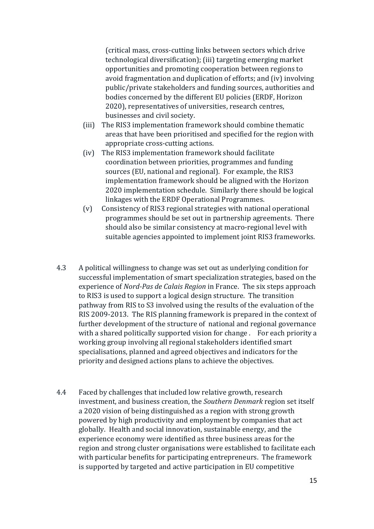(critical mass, cross-cutting links between sectors which drive technological diversification); (iii) targeting emerging market opportunities and promoting cooperation between regions to avoid fragmentation and duplication of efforts; and (iv) involving public/private stakeholders and funding sources, authorities and bodies concerned by the different EU policies (ERDF, Horizon 2020), representatives of universities, research centres, businesses and civil society.

- (iii) The RIS3 implementation framework should combine thematic areas that have been prioritised and specified for the region with appropriate cross-cutting actions.
- (iv) The RIS3 implementation framework should facilitate coordination between priorities, programmes and funding sources (EU, national and regional). For example, the RIS3 implementation framework should be aligned with the Horizon 2020 implementation schedule. Similarly there should be logical linkages with the ERDF Operational Programmes.
- (v) Consistency of RIS3 regional strategies with national operational programmes should be set out in partnership agreements. There should also be similar consistency at macro-regional level with suitable agencies appointed to implement joint RIS3 frameworks.
- 4.3 A political willingness to change was set out as underlying condition for successful implementation of smart specialization strategies, based on the experience of *Nord-Pas de Calais Region* in France. The six steps approach to RIS3 is used to support a logical design structure. The transition pathway from RIS to S3 involved using the results of the evaluation of the RIS 2009-2013. The RIS planning framework is prepared in the context of further development of the structure of national and regional governance with a shared politically supported vision for change . For each priority a working group involving all regional stakeholders identified smart specialisations, planned and agreed objectives and indicators for the priority and designed actions plans to achieve the objectives.
- 4.4 Faced by challenges that included low relative growth, research investment, and business creation, the *Southern Denmark* region set itself a 2020 vision of being distinguished as a region with strong growth powered by high productivity and employment by companies that act globally. Health and social innovation, sustainable energy, and the experience economy were identified as three business areas for the region and strong cluster organisations were established to facilitate each with particular benefits for participating entrepreneurs. The framework is supported by targeted and active participation in EU competitive